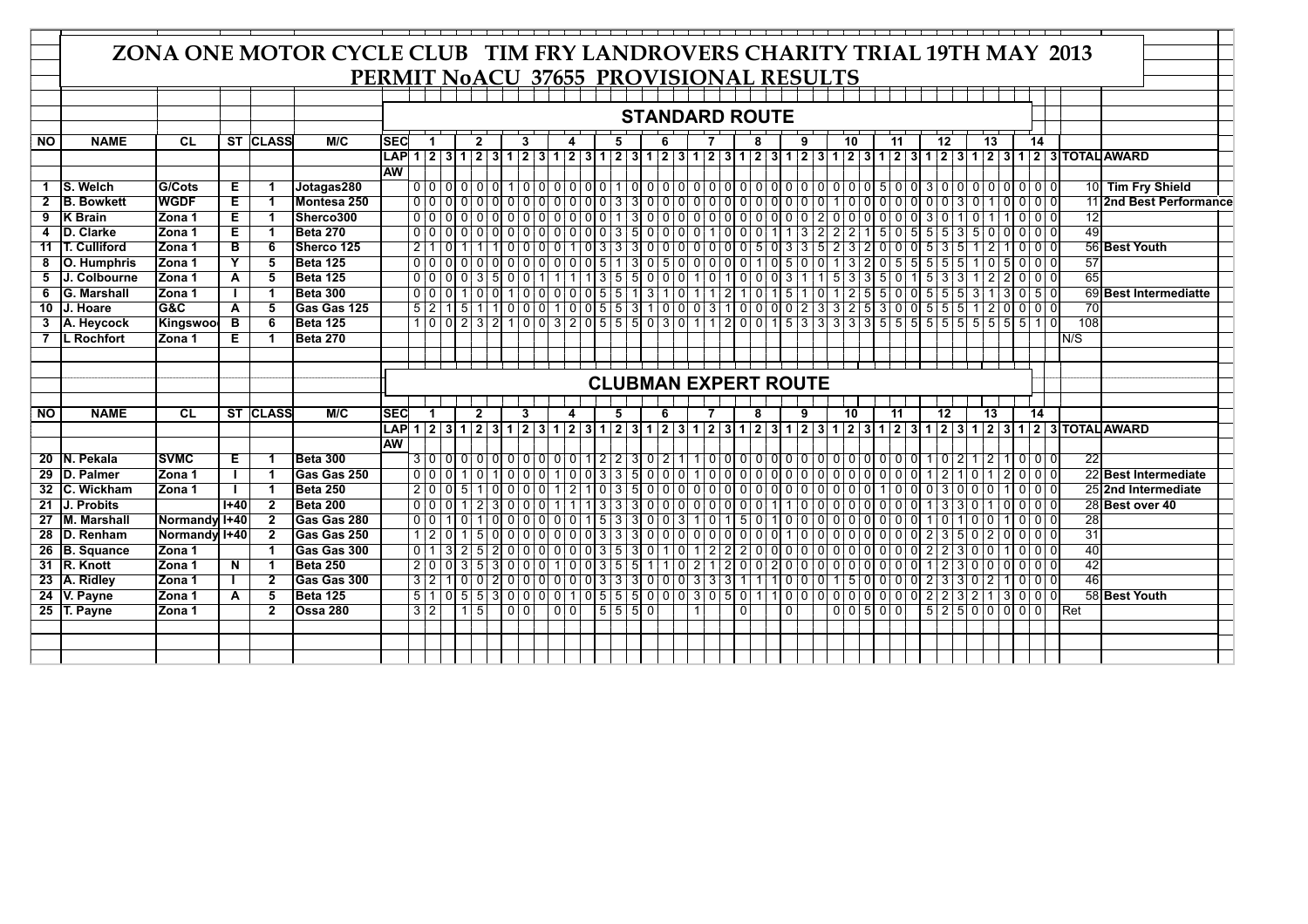|                 |                     |               |                         |                 | ZONA ONE MOTOR CYCLE CLUB TIM FRY LANDROVERS CHARITY TRIAL 19TH MAY 2013 |                                        |                 |                                 |         |     |                               |            |                                                   |                |         |  |                                     |          |   |       |    |                                     |                 |                     |                 |          |                  |                 |                 |      |                                            |                 |                                                                                                                                         |                         |  |
|-----------------|---------------------|---------------|-------------------------|-----------------|--------------------------------------------------------------------------|----------------------------------------|-----------------|---------------------------------|---------|-----|-------------------------------|------------|---------------------------------------------------|----------------|---------|--|-------------------------------------|----------|---|-------|----|-------------------------------------|-----------------|---------------------|-----------------|----------|------------------|-----------------|-----------------|------|--------------------------------------------|-----------------|-----------------------------------------------------------------------------------------------------------------------------------------|-------------------------|--|
|                 |                     |               |                         |                 |                                                                          |                                        |                 |                                 |         |     |                               |            |                                                   |                |         |  |                                     |          |   |       |    |                                     |                 |                     |                 |          |                  |                 |                 |      |                                            |                 |                                                                                                                                         |                         |  |
|                 |                     |               |                         |                 |                                                                          | PERMIT NOACU 37655 PROVISIONAL RESULTS |                 |                                 |         |     |                               |            |                                                   |                |         |  |                                     |          |   |       |    |                                     |                 |                     |                 |          |                  |                 |                 |      |                                            |                 |                                                                                                                                         |                         |  |
|                 |                     |               |                         |                 |                                                                          |                                        |                 |                                 |         |     |                               |            |                                                   |                |         |  |                                     |          |   |       |    |                                     |                 |                     |                 |          |                  |                 |                 |      |                                            |                 |                                                                                                                                         |                         |  |
|                 |                     |               |                         |                 |                                                                          |                                        |                 |                                 |         |     |                               |            |                                                   |                |         |  | <b>STANDARD ROUTE</b>               |          |   |       |    |                                     |                 |                     |                 |          |                  |                 |                 |      |                                            |                 |                                                                                                                                         |                         |  |
|                 |                     |               |                         |                 |                                                                          |                                        |                 |                                 |         |     |                               |            |                                                   |                |         |  |                                     |          |   |       |    |                                     |                 |                     |                 |          |                  |                 |                 |      |                                            |                 |                                                                                                                                         |                         |  |
| N <sub>O</sub>  | <b>NAME</b>         | CL            |                         | <b>ST CLASS</b> | M/C                                                                      | Ised                                   |                 |                                 |         |     |                               |            | 5                                                 |                |         |  |                                     |          |   |       | 9  |                                     | 10              |                     |                 | 11       |                  | $\overline{12}$ | 13              |      | 14                                         |                 |                                                                                                                                         |                         |  |
|                 |                     |               |                         |                 |                                                                          |                                        |                 |                                 |         |     |                               |            |                                                   |                |         |  |                                     |          |   |       |    |                                     |                 |                     |                 |          |                  |                 |                 |      |                                            |                 | LAP 1 2 3 1 2 3 1 2 3 1 2 3 1 2 3 1 2 3 1 2 3 1 2 3 1 2 3 1 2 3 1 2 3 1 2 3 1 2 3 1 2 3 1 2 3 1 2 3 1 2 3 1 2 3 1 2 3 1 2 3 1 2 4 4 4 5 |                         |  |
|                 |                     |               |                         |                 |                                                                          | <b>AW</b>                              |                 |                                 |         |     |                               |            |                                                   |                |         |  |                                     |          |   |       |    |                                     |                 |                     |                 |          |                  |                 |                 |      |                                            |                 |                                                                                                                                         |                         |  |
|                 | S. Welch            | G/Cots        | Е.                      |                 | Jotagas280                                                               |                                        |                 |                                 |         |     |                               |            |                                                   |                |         |  |                                     |          |   |       |    |                                     |                 |                     |                 |          |                  |                 |                 |      |                                            |                 |                                                                                                                                         | 10 Tim Fry Shield       |  |
| $\mathbf{2}$    | <b>B.</b> Bowkett   | <b>WGDF</b>   | Ε                       |                 | Montesa 250                                                              |                                        | 0 0             | 00000000000003                  |         |     |                               |            |                                                   |                |         |  | 3000000000000001000000003010000     |          |   |       |    |                                     |                 |                     |                 |          |                  |                 |                 |      |                                            |                 |                                                                                                                                         | 11 2nd Best Performance |  |
| 9               | <b>K</b> Brain      | Zona 1        | Ε                       | -1              | Sherco300                                                                |                                        |                 | $0 0 0 0 0 0 0 0 0 0 0 0 0 0 1$ |         |     |                               |            |                                                   |                |         |  | $3000000000000000$                  |          |   |       |    | 2000000030101                       |                 |                     |                 |          |                  |                 |                 |      | 1000                                       | 12              |                                                                                                                                         |                         |  |
| 4               | D. Clarke           | Zona 1        | Έ                       | -1              | <b>Beta 270</b>                                                          |                                        | 0 0             | 000000000000003                 |         |     |                               |            |                                                   |                |         |  | 5000011001113                       |          |   |       |    | $\overline{2}$                      | 2 2             | 11                  |                 |          | 50555350         |                 |                 |      | 00000                                      | 49              |                                                                                                                                         |                         |  |
| 11              | <b>T. Culliford</b> | Zona 1        | $\overline{B}$          | 6               | Sherco 125                                                               |                                        |                 |                                 |         |     |                               |            | $21101111000001010333000000000033352320000531512$ |                |         |  |                                     |          |   |       |    |                                     |                 |                     |                 |          |                  |                 |                 |      | 1000                                       |                 | 56 Best Youth                                                                                                                           |                         |  |
| 8               | O. Humphris         | <b>Zona 1</b> | $\overline{\mathsf{Y}}$ | 5               | Beta 125                                                                 |                                        | 0 0             | 0000                            |         |     | 00000000                      |            | 5 1                                               | 3 <sup>1</sup> |         |  | 05000001050                         |          |   |       |    | $\overline{0}$                      | 1 3             | $\overline{2}$      | $0\overline{5}$ |          | 5 5 5 5          |                 | 1 0             | -5 I | 0 0 0                                      | 57              |                                                                                                                                         |                         |  |
| 5               | J. Colbourne        | Zona 1        | A                       | 5               | Beta 125                                                                 |                                        |                 | 0000035001111                   |         |     |                               |            | $1355000110100031$                                |                |         |  |                                     |          |   |       |    | $1\overline{5}$ 3 3 5 0 1 5 3 3 1 2 |                 |                     |                 |          |                  |                 |                 |      | $2000$                                     | 65              |                                                                                                                                         |                         |  |
| 6               | <b>G. Marshall</b>  | Zona 1        |                         | -1              | Beta 300                                                                 |                                        |                 | 000010100100000055              |         |     |                               |            |                                                   |                |         |  | $131011210151012$                   |          |   |       |    |                                     |                 |                     |                 |          | 5 5 0 0 5 5 53 1 |                 |                 |      | 3 0 5 0                                    |                 |                                                                                                                                         | 69 Best Intermediatte   |  |
| 10              | J. Hoare            | G&C           | A                       | 5               | Gas Gas 125                                                              |                                        | 5 2             |                                 |         |     |                               |            | 15110001005531000310000233253005551200000         |                |         |  |                                     |          |   |       |    |                                     |                 |                     |                 |          |                  |                 |                 |      |                                            | 70              |                                                                                                                                         |                         |  |
| 3               | A. Heycock          | Kingswood     | в                       | 6               | Beta 125                                                                 |                                        |                 |                                 |         |     |                               |            |                                                   |                |         |  |                                     |          |   |       |    |                                     |                 |                     |                 |          |                  |                 |                 |      |                                            | 108             |                                                                                                                                         |                         |  |
|                 | <b>L</b> Rochfort   | IZona 1       | Ε                       |                 | Beta 270                                                                 |                                        |                 |                                 |         |     |                               |            |                                                   |                |         |  |                                     |          |   |       |    |                                     |                 |                     |                 |          |                  |                 |                 |      |                                            | N/S             |                                                                                                                                         |                         |  |
|                 |                     |               |                         |                 |                                                                          |                                        |                 |                                 |         |     |                               |            |                                                   |                |         |  |                                     |          |   |       |    |                                     |                 |                     |                 |          |                  |                 |                 |      |                                            |                 |                                                                                                                                         |                         |  |
|                 |                     |               |                         |                 |                                                                          |                                        |                 |                                 |         |     |                               |            |                                                   |                |         |  |                                     |          |   |       |    |                                     |                 |                     |                 |          |                  |                 |                 |      |                                            |                 |                                                                                                                                         |                         |  |
|                 |                     |               |                         |                 |                                                                          |                                        |                 |                                 |         |     |                               |            | <b>CLUBMAN EXPERT ROUTE</b>                       |                |         |  |                                     |          |   |       |    |                                     |                 |                     |                 |          |                  |                 |                 |      |                                            |                 |                                                                                                                                         |                         |  |
|                 |                     |               |                         |                 |                                                                          |                                        |                 |                                 |         |     |                               |            |                                                   |                |         |  |                                     |          |   |       |    |                                     |                 |                     |                 |          |                  |                 |                 |      |                                            |                 |                                                                                                                                         |                         |  |
| <b>NO</b>       | <b>NAME</b>         | <b>CL</b>     |                         | <b>ST CLASS</b> | M/C                                                                      | <b>ISEC</b>                            |                 | 2                               | 3       |     | 4                             |            | 5                                                 |                | 6       |  |                                     |          | 8 |       | 9  |                                     | 10              |                     |                 | 11       |                  | $\overline{12}$ | 13              |      | 14                                         |                 |                                                                                                                                         |                         |  |
|                 |                     |               |                         |                 |                                                                          |                                        |                 |                                 |         |     |                               |            |                                                   |                |         |  |                                     |          |   |       |    |                                     |                 |                     |                 |          |                  |                 |                 |      |                                            |                 | LAP 1 2 3 1 2 3 1 2 3 1 2 3 1 2 3 1 2 3 1 2 3 1 2 3 1 2 3 1 2 3 1 2 3 1 2 3 1 2 3 1 2 3 1 2 3 1 2 3 1 2 3 1 2 3 1 2 3 1 2 3 1 2 4 4 5   |                         |  |
|                 |                     |               |                         |                 |                                                                          | <b>IAW</b>                             |                 |                                 |         |     |                               |            |                                                   |                |         |  |                                     |          |   |       |    |                                     |                 |                     |                 |          |                  |                 |                 |      |                                            |                 |                                                                                                                                         |                         |  |
|                 | 20 N. Pekala        | <b>SVMC</b>   | Ε                       |                 | Beta 300                                                                 |                                        |                 |                                 |         |     |                               |            |                                                   |                |         |  |                                     |          |   |       |    |                                     |                 |                     |                 |          |                  |                 |                 |      | 1000                                       | $\overline{22}$ |                                                                                                                                         |                         |  |
| 29              | D. Palmer           | Zona 1        |                         |                 | Gas Gas 250                                                              |                                        | 0 <sup>0</sup>  | 1 0                             | 100011  |     | $\overline{0}$ $\overline{0}$ |            | 33                                                | 5              | 000     |  | $100000000000000$                   |          |   |       |    |                                     |                 | 0 I                 |                 | $0$ 0 0  |                  |                 | $\mathbf 0$     |      | 000                                        |                 |                                                                                                                                         | 22 Best Intermediate    |  |
| 32              | <b>IC. Wickham</b>  | Zona 1        |                         |                 | Beta 250                                                                 |                                        |                 |                                 |         |     |                               |            | $2000510000121035000000000000000000$              |                |         |  |                                     |          |   |       |    |                                     |                 |                     |                 |          | 10003000         |                 |                 |      | 1000                                       |                 |                                                                                                                                         | 25 2nd Intermediate     |  |
| 21              | J. Probits          |               | $1+40$                  | $\overline{2}$  | Beta 200                                                                 |                                        | $0\vert 0\vert$ | $\lceil 1 \rceil 2 \rceil$      | 3000011 |     | $\vert$ 1                     | 33         |                                                   |                |         |  | 300000000                           |          |   |       | 10 | 0000                                |                 | 01                  | 0               | $\Omega$ |                  |                 | 133011          |      | $0\overline{0}$                            |                 | 28 Best over 40                                                                                                                         |                         |  |
| $\overline{27}$ | <b>M. Marshall</b>  | Normandy I+40 |                         | $\mathbf{2}$    | Gas Gas 280                                                              |                                        | 0 0             | 1010000001                      |         |     |                               | $\sqrt{5}$ |                                                   |                |         |  | $30003101501000000000000$           |          |   |       |    |                                     |                 |                     |                 |          |                  |                 | 10100           |      | $0000$                                     | 28              |                                                                                                                                         |                         |  |
| 28              | <b>D.</b> Renham    | Normandy I+40 |                         | $\overline{2}$  | <b>Gas Gas 250</b>                                                       |                                        | 1 2             | $0$ 1 5 0 0 0 0 0 0 0 0 3 3     |         |     |                               |            |                                                   |                |         |  | $300000000000001001000000000023502$ |          |   |       |    |                                     |                 |                     |                 |          |                  |                 |                 |      | $\begin{array}{c c} 0 & 0 & 0 \end{array}$ | $\overline{31}$ |                                                                                                                                         |                         |  |
| 26              | <b>B.</b> Squance   | Zona 1        |                         | -1              | Gas Gas 300                                                              |                                        |                 | $3 \ 2 \ 5$                     |         |     | 200000000                     |            | 35                                                | $\overline{3}$ | $0$ 1 0 |  | 12220000000000                      |          |   |       |    |                                     |                 |                     |                 |          | 00022300         |                 |                 |      | 000                                        | 40              |                                                                                                                                         |                         |  |
| 31              | R. Knott            | IZona 1       | $\overline{\mathsf{N}}$ | -1              | Beta 250                                                                 |                                        | 2 0             | $0$ 3 5 3 0 0 0 1 0 0 3 5       |         |     |                               |            |                                                   |                |         |  | $511102120020000000000012300$       |          |   |       |    |                                     |                 |                     |                 |          |                  |                 |                 |      | 0000                                       | 42              |                                                                                                                                         |                         |  |
| 23              | A. Ridley           | IZona 1       |                         | $\mathbf{2}$    | Gas Gas 300                                                              |                                        | 3 2             | 00                              |         |     | 200000000                     |            | $\overline{3}$ $\overline{3}$                     |                |         |  | 30000333111                         |          |   | $100$ |    | ा                                   | $1\overline{5}$ |                     |                 |          | 0000023302       |                 |                 |      | 000                                        | 46              |                                                                                                                                         |                         |  |
| 24              | V. Payne            | Zona 1        | $\overline{A}$          | $\overline{5}$  | Beta 125                                                                 |                                        |                 |                                 |         |     |                               |            | $51055300001055500030501100000000000022321$       |                |         |  |                                     |          |   |       |    |                                     |                 |                     |                 |          |                  |                 |                 |      | $3000$                                     |                 | 58 Best Youth                                                                                                                           |                         |  |
|                 | 25 T. Payne         | Zona 1        |                         | $\mathbf{2}$    | <b>Ossa 280</b>                                                          |                                        | 3 2             | $1\vert 5 \vert$                | 1010 I  | 0 0 |                               |            | 5550                                              |                |         |  |                                     | $\Omega$ |   | l 0 l |    |                                     |                 | $0 \ 0 \ 5 \ 0 \ 0$ |                 |          |                  |                 | 5 2 5 0 0 0 0 0 |      |                                            | Ret             |                                                                                                                                         |                         |  |
|                 |                     |               |                         |                 |                                                                          |                                        |                 |                                 |         |     |                               |            |                                                   |                |         |  |                                     |          |   |       |    |                                     |                 |                     |                 |          |                  |                 |                 |      |                                            |                 |                                                                                                                                         |                         |  |
|                 |                     |               |                         |                 |                                                                          |                                        |                 |                                 |         |     |                               |            |                                                   |                |         |  |                                     |          |   |       |    |                                     |                 |                     |                 |          |                  |                 |                 |      |                                            |                 |                                                                                                                                         |                         |  |
|                 |                     |               |                         |                 |                                                                          |                                        |                 |                                 |         |     |                               |            |                                                   |                |         |  |                                     |          |   |       |    |                                     |                 |                     |                 |          |                  |                 |                 |      |                                            |                 |                                                                                                                                         |                         |  |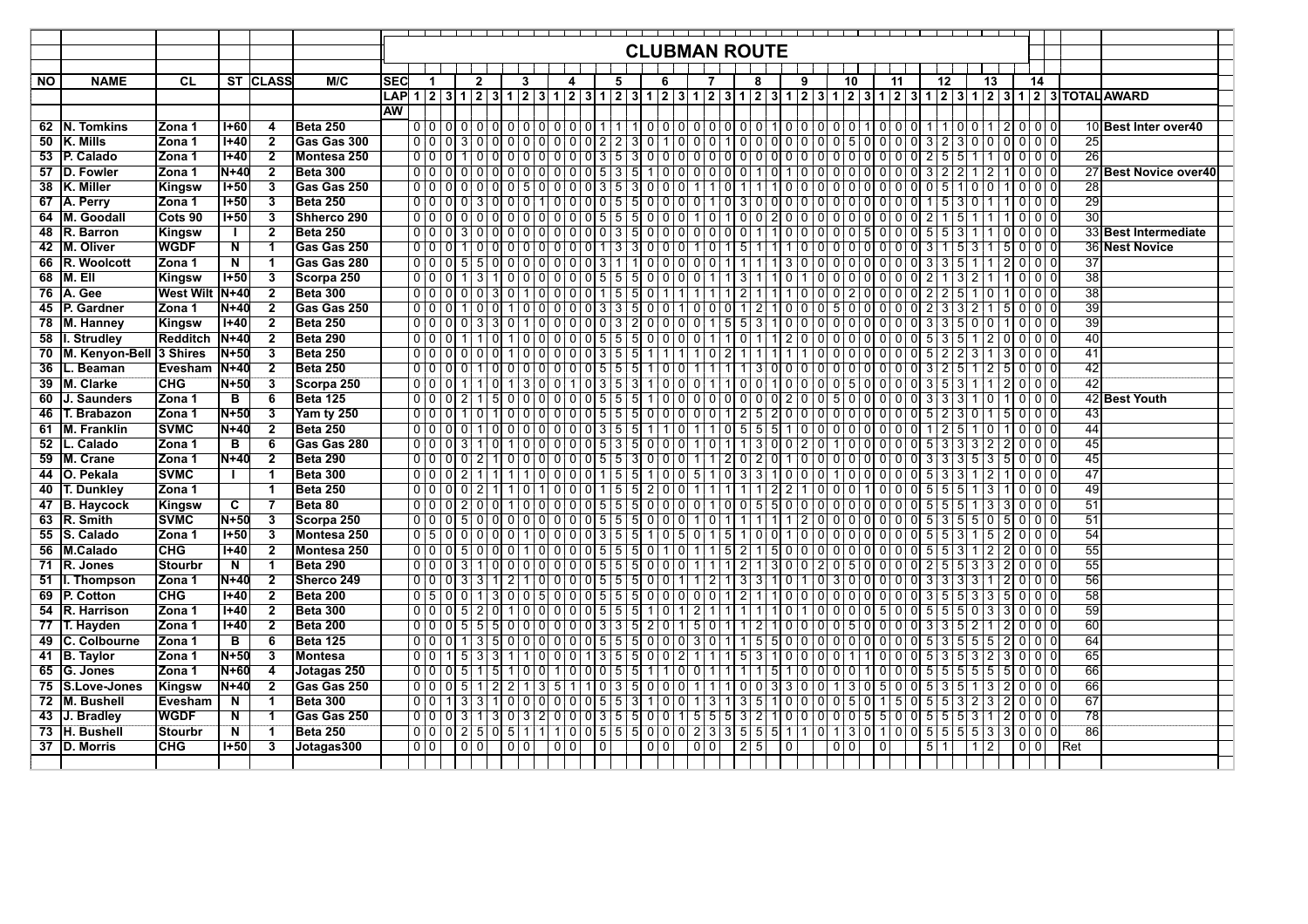|           |                                   |                  |                          |                              |                               |            |                |         |                  |                               |                |     |                |                |                     |                      |                                   |                |                   |                |                          |                   | <b>CLUBMAN ROUTE</b>                                    |                |                                  |                |                         |                  |                                 |             |                         |                |                       |                             |                                            |                 |                                                                                                                                         |  |
|-----------|-----------------------------------|------------------|--------------------------|------------------------------|-------------------------------|------------|----------------|---------|------------------|-------------------------------|----------------|-----|----------------|----------------|---------------------|----------------------|-----------------------------------|----------------|-------------------|----------------|--------------------------|-------------------|---------------------------------------------------------|----------------|----------------------------------|----------------|-------------------------|------------------|---------------------------------|-------------|-------------------------|----------------|-----------------------|-----------------------------|--------------------------------------------|-----------------|-----------------------------------------------------------------------------------------------------------------------------------------|--|
|           |                                   |                  |                          |                              |                               |            |                |         |                  |                               |                |     |                |                |                     |                      |                                   |                |                   |                |                          |                   |                                                         |                |                                  |                |                         |                  |                                 |             |                         |                |                       |                             |                                            |                 |                                                                                                                                         |  |
| <b>NO</b> | <b>NAME</b>                       | CL               |                          | ST CLASS                     | M/C                           | <b>SEC</b> |                |         |                  |                               |                | 3   |                |                | 4                   |                      | 5                                 |                | 6                 |                |                          |                   | 8                                                       |                | 9                                |                | 10                      |                  | 11                              |             | 12                      |                | 13                    |                             | 14                                         |                 |                                                                                                                                         |  |
|           |                                   |                  |                          |                              |                               |            |                |         |                  |                               |                |     |                |                |                     |                      |                                   |                |                   |                |                          |                   |                                                         |                |                                  |                |                         |                  |                                 |             |                         |                |                       |                             |                                            |                 | LAP 1 2 3 1 2 3 1 2 3 1 2 3 1 2 3 1 2 3 1 2 3 1 2 3 1 2 3 1 2 3 1 2 3 1 2 3 1 2 3 1 2 3 1 2 3 1 2 3 1 2 3 1 2 3 1 2 3 1 2 3 1 2 4 4 4 5 |  |
|           |                                   |                  |                          |                              |                               | <b>AW</b>  |                |         |                  |                               |                |     |                |                |                     |                      |                                   |                |                   |                |                          |                   |                                                         |                |                                  |                |                         |                  |                                 |             |                         |                |                       |                             |                                            |                 |                                                                                                                                         |  |
| 62        | N. Tomkins                        | Zona 1           | $1 + 60$                 | 4                            | <b>Beta 250</b>               |            |                |         |                  | 0 0 0 0 0 0 0 0 0 0 0 0 0 1 1 |                |     |                |                |                     |                      |                                   |                |                   |                |                          |                   | $10000000000010010000100011000111000120000$             |                |                                  |                |                         |                  |                                 |             |                         |                |                       |                             |                                            |                 | 10 Best Inter over40                                                                                                                    |  |
| 50        | K. Mills                          | Zona 1           | <b>I+40</b>              | $\mathbf{2}$                 | Gas Gas 300                   |            |                |         |                  | $0 0 0 3 0 0 0 0 0 0 0 0 2 2$ |                |     |                |                |                     |                      |                                   |                |                   |                |                          |                   | $3010000100000000$                                      |                |                                  |                | 0 5 0 0 0 0 3 2 3       |                  |                                 |             |                         |                | 0 0 0 0 0 0           |                             |                                            | 25              |                                                                                                                                         |  |
| 53        | P. Calado                         | Zona 1           | $1+40$                   | $\overline{2}$               | Montesa 250                   |            |                |         |                  | 0000100000000                 |                |     |                |                |                     | $0 \ 3 \ 5$          |                                   |                |                   |                |                          |                   | 300000000000000000000025511                             |                |                                  |                |                         |                  |                                 |             |                         |                |                       | 0000                        |                                            | 26              |                                                                                                                                         |  |
| 57        | D. Fowler                         | Zona 1           | $N+40$                   | $\overline{2}$               | <b>Beta 300</b>               |            | 0 0            |         | 010              |                               |                |     | 0 0 0 0 0      | 0 0            |                     | $0 \mid 5 \mid 3$    | 5 <sub>l</sub>                    |                |                   |                | 100000000                |                   | $\vert$ 1<br>- ol                                       | 10             | $\Omega$                         | 0 0            |                         | 0 0 0            |                                 | 0 3 2 2     |                         | $\mathbf{1}$   | $\overline{2}$        |                             | 0 0 0                                      |                 | 27 Best Novice over40                                                                                                                   |  |
| 38        | K. Miller                         | <b>Kingsw</b>    | $1+50$                   | 3                            | Gas Gas 250                   |            | 0 0            |         | 010              |                               |                |     | 0 0 0 5 0      | 0 0            |                     | σT<br>$\overline{3}$ | $\overline{5}$<br>31              |                | 000               |                |                          | $\bigcap$ 1       | $\mathbf{1}$                                            | $0$ 0          | $\overline{0}$                   | 0 0            |                         | 0 0 0            |                                 | 0 0 5 1     |                         |                | 0 0                   |                             | 000                                        | 28              |                                                                                                                                         |  |
| 67        | A. Perry                          | Zona 1           | $1 + 50$                 | 3                            | <b>Beta 250</b>               |            |                |         | 0 <sub>0</sub>   |                               | 3 0 0          |     | 0 <sub>1</sub> | 0 <sub>0</sub> |                     | $0 \ 0 \ 5$          | $5\overline{1}$                   |                | $0 0 0$           | 0 <sup>1</sup> |                          |                   | 030000                                                  |                | $\overline{0}$                   | $\overline{0}$ | $\overline{0}$          | 0 0 0            | 0I                              |             | $\vert 5 \vert 3 \vert$ | $\overline{0}$ |                       |                             | 0 0 0                                      | 29              |                                                                                                                                         |  |
| 64        | M. Goodall                        | Cots 90          | $H + 50$                 | 3                            | Shherco 290                   |            | 0 0            |         | $01$ 0           |                               |                |     | 0 0 0 0 0      | $0$ 0          |                     | $0\overline{5}$      | $\boxed{5}$<br>$5\overline{1}$    |                |                   |                | 0001010100               |                   | $\overline{2}$                                          | 0 <sub>0</sub> | $\overline{0}$                   | $\overline{0}$ | 0                       | 0 0 0            |                                 | 0 2 1 5     |                         | $\mathbf{1}$   |                       | $\overline{0}$              | 0 0                                        | $\overline{30}$ |                                                                                                                                         |  |
| 48        | R. Barron                         | <b>Kingsw</b>    | л.                       | $\overline{2}$               | Beta 250                      |            | 0 <sub>0</sub> |         | $01$ 3           |                               | 0 0 0          |     | 0 0            | $rac{1}{2}$    |                     | 0 0 3                | $\overline{5}$                    |                |                   |                | 00000000                 |                   | $\overline{1}$                                          | $\boxed{0}$ 0  | $\overline{0}$                   | $\overline{0}$ | 0                       | 5 0              | 0 I                             | 0 5 5 3     |                         |                | -1                    |                             | 0 0 0                                      |                 | 33 Best Intermediate                                                                                                                    |  |
| 42        | M. Oliver                         | <b>WGDF</b>      | $\overline{N}$           |                              | Gas Gas 250                   |            | 0 0            |         |                  |                               |                |     | 0 0 0 0 0      | 0              | 0                   | $\overline{0}$       | $1 \mid 3$<br>3                   | 0              | 0 0               |                | 1 0 1 5                  |                   |                                                         | 1 0            | $\overline{0}$                   | 0              | 0                       | 0 0              | 0 I                             | 0 3 1 5     |                         | 3              |                       | 5 <sup>1</sup>              | 0 0 0                                      |                 | 36 Nest Novice                                                                                                                          |  |
| 66        | R. Woolcott                       | Zona 1           | N                        |                              | Gas Gas 280                   |            | 0 0            |         | $0\vert 5 \vert$ |                               | 5 0 0          |     | 0 0            | 0              | 0                   | 0                    | 3 1                               |                |                   |                | 0 0 0 0 0 1 1            |                   |                                                         | 3 0            | $\overline{0}$                   | $\mathbf 0$    | 0 <sup>1</sup>          | 0 0              | 0 <sup>1</sup><br>0 I           |             | 3 3 5                   |                |                       | 0                           | 0 0                                        | 37              |                                                                                                                                         |  |
| 68        | M. Ell                            | <b>Kingsw</b>    | $H + 50$                 | 3                            | Scorpa 250                    |            | 0 0            |         |                  | 1 3 1                         |                |     | 0000           | 0 0            |                     | $\overline{0}$       | 5 5<br>51                         |                | 0 0 0             |                | $0 \mid 1 \mid 1 \mid 3$ |                   |                                                         | $\overline{0}$ | $\vert$ 1<br>$\overline{0}$      | 0              | 0                       | 0 0 0            | 01                              |             | 2 1 3                   | $\overline{2}$ |                       | $\Omega$                    | 0 0                                        | 38              |                                                                                                                                         |  |
| 76        | A. Gee                            | <b>West Wilt</b> | N+40                     | $\overline{2}$               | <b>Beta 300</b>               |            | 0 0            |         | $01$ 0           | 0 3                           |                |     | 0110           | 0 0            |                     | $0 \mid 1 \mid 5$    | 5                                 | 0              | $1 \vert 1 \vert$ |                |                          | $1\overline{2}$   |                                                         | 1 0            | $\overline{0}$                   | $\mathbf 0$    | $\overline{2}$          | 0 0              | $\overline{0}$                  | 0 2 2 5     |                         |                | 0                     |                             | 0 0 0                                      | 38              |                                                                                                                                         |  |
| 45        | P. Gardner                        | Zona 1           | N+40                     | $\mathbf{2}$                 | Gas Gas 250                   |            | 0 0            |         |                  | 100110000                     |                |     |                |                |                     | 0                    | 3 3 <br>5 <sub>l</sub>            |                |                   |                |                          |                   | 0 0 1 0 0 0 1 2 1                                       | 0              | $\overline{0}$<br> 0             | 5              | 0                       | 0 0 0            |                                 | 0 2 3 3     |                         | 2              | $\vert$ 1             | -5 I                        | 0 0 0                                      | 39              |                                                                                                                                         |  |
| 78        | M. Hanney                         | <b>Kingsw</b>    | $1 + 40$                 | $\overline{2}$               | <b>Beta 250</b>               |            |                |         |                  | 0 0 0 0 3 3 0 1 0 0 0         |                |     |                |                |                     | 0 0 3                |                                   |                |                   |                | 2 0 0 0 0 1 5 5          |                   | 3 <br>$\vert$ 1                                         | 0              | $\overline{0}$<br>-0 l           | $\overline{0}$ | 0 0 0                   |                  | $\Omega$                        | 013 3 5     |                         | $\overline{0}$ | 0                     |                             | 0 0 0                                      | 39              |                                                                                                                                         |  |
| 58        | I. Strudley                       | <b>Redditch</b>  | N+40                     | $\overline{2}$               | Beta 290                      |            | 0 0            |         |                  | 1 1 0 1 0 0                   |                |     |                | 0 0            |                     | 0 5 5                | 5 <sub>l</sub>                    |                | 0 0 0             |                | 0 1 1 0 1                |                   |                                                         | 2 0            | $\overline{0}$                   | $\overline{0}$ | 0 0 0                   |                  | 0 <sup>1</sup>                  | 0 5 3 5     |                         | $\vert$ 1      | 2                     |                             | 0 0 0                                      | 40              |                                                                                                                                         |  |
| 70        | M. Kenyon-Bell 3 Shires           |                  | N+50                     | 3                            | <b>Beta 250</b>               |            |                |         |                  | 0 0 0 0 0 0 1 0 0             |                |     |                | 0 0            |                     | $0 \mid 3 \mid 5$    | 5 <sub>l</sub>                    |                | 1   1             |                | 1 0 2 1                  |                   |                                                         | 1 <sup>1</sup> | 11<br>$\overline{0}$             | $\overline{0}$ | 0 0 0                   |                  | 0 <sup>1</sup>                  | 0 5 2 2     |                         |                | 3 1                   |                             | 0 0 0                                      | 41              |                                                                                                                                         |  |
| 36        | L. Beaman                         | Evesham          | N+40                     | $\overline{2}$               | <b>Beta 250</b>               |            | 0 0            |         | 010              |                               |                |     | 1 0 0 0 0      | 0 0            |                     | $0 \overline{5}$ 5   | 5 <sup>1</sup>                    |                | $\overline{0}$    |                |                          |                   | 1 1 3 0                                                 | 0 <sub>0</sub> | $\Omega$                         | $\overline{0}$ | 0                       | 0 0              | 0 <sup>1</sup>                  | 0 3 2 5     |                         |                | 1 2                   | 5                           | 0 0 0                                      | 42              |                                                                                                                                         |  |
| 39        | M. Clarke                         | <b>CHG</b>       | N+50                     | 3                            | Scorpa 250                    |            |                | 0 0 0 1 |                  |                               |                |     | 1 0 1 3 0      | 0 1            |                     | 0 3                  | 5<br>3 <sup>1</sup>               |                |                   |                | 0 0 0 1 1 0 0            |                   | $\overline{1}$                                          | $\boxed{0}$ 0  | l 0 l                            | $\overline{0}$ | 5                       | 0 0              | 0 <sup>1</sup>                  | 0 3 5 3     |                         |                |                       |                             | 0 0 0                                      | 42              |                                                                                                                                         |  |
| 60<br>46  | <b>J. Saunders</b><br>T. Brabazon | Zona 1<br>Zona 1 | $\overline{B}$<br>$N+50$ | 6<br>$\overline{\mathbf{3}}$ | Beta 125<br><b>Yam ty 250</b> |            | 0 0            |         | 0 2              | 0 0 0 1 0 1                   |                |     | 1 5 0 0 0      |                | 00055<br>000000055  |                      | 5                                 | 11             |                   |                |                          |                   | 00000000020<br>$500000012520000000000523$               |                |                                  | 0 5            | 0 0 0                   |                  | 0                               | 0 3 3 3     |                         | 1 <sup>1</sup> | $\overline{0}$<br>0 1 | 5000                        | 0 0 0                                      | 43              | 42 Best Youth                                                                                                                           |  |
| 61        | M. Franklin                       | <b>SVMC</b>      | $N+40$                   | $\mathbf{2}$                 | <b>Beta 250</b>               |            | 0 0            |         |                  | 00110000000035                |                |     |                |                |                     |                      | $\overline{5}$                    |                | 1 1 1 0           |                |                          |                   | 110555                                                  | 1 0            |                                  |                | 000000000125            |                  |                                 |             |                         |                | 1 0                   |                             | $\begin{array}{c c} 0 & 0 & 0 \end{array}$ | 44              |                                                                                                                                         |  |
| 52        | L. Calado                         | Zona 1           | $\overline{B}$           | 6                            | Gas Gas 280                   |            |                |         |                  |                               |                |     |                |                |                     |                      |                                   |                |                   |                |                          |                   | $0 0 0 3 1 0 1 0 0 0 0 0 5 3 5 0 0 0 1 0 1 1 3 0 0 2 0$ |                |                                  |                | 1 0 0 0                 |                  | $0 \mid 0 \mid 5 \mid 3 \mid 3$ |             |                         |                | 3 2                   | 2000                        |                                            | 45              |                                                                                                                                         |  |
| 59        | M. Crane                          | Zona 1           | $N+40$                   | $\mathbf{2}$                 | <b>Beta 290</b>               |            | 0 0            |         |                  | 0 0 2 1                       |                |     |                |                | 00055               |                      |                                   |                | 30000             |                |                          |                   | 1 1 2 0 2 0                                             | 10             | $\overline{0}$                   |                | 0 0 0 0                 |                  | 0 0 3 3 3                       |             |                         |                | 5 3                   | 5                           | 000                                        | 45              |                                                                                                                                         |  |
| 44        | O. Pekala                         | <b>SVMC</b>      | $\mathbf{I}$             | -1                           | <b>Beta 300</b>               |            |                | 0 0 0 2 |                  |                               |                |     | 1 1 1 1 0      |                | 0 0 0 1 5           |                      | $\overline{5}$                    | 11             |                   |                |                          |                   | 00510331000                                             |                |                                  |                | 1 0 0 0 0 0 5 3 3 1 2   |                  |                                 |             |                         |                |                       |                             |                                            | 47              |                                                                                                                                         |  |
| 40        | <b>T. Dunkley</b>                 | Zona 1           |                          | $\mathbf 1$                  | <b>Beta 250</b>               |            | 0 0            |         |                  | 0 0 2 1                       |                |     | 11011          | $\frac{1}{2}$  |                     | $\overline{0}$       | $\overline{5}$<br>$1\overline{5}$ |                |                   |                | 20011111                 |                   | $\overline{1}$<br>-21                                   |                | 210                              | 0 0            |                         | 10000555         |                                 |             |                         |                | $1 \mid 3$            |                             | 0 0 0                                      | 49              |                                                                                                                                         |  |
| 47        | <b>B. Haycock</b>                 | <b>Kingsw</b>    | C                        | 7                            | Beta 80                       |            |                |         |                  | 0 0 0 2 0 0 1 0 0 0 0 0 5 5   |                |     |                |                |                     |                      |                                   |                |                   |                |                          |                   | 5000001010055000                                        |                |                                  |                | 0 0 0 0 0 0 0 5 5 5 1 3 |                  |                                 |             |                         |                |                       | 30000                       |                                            | 51              |                                                                                                                                         |  |
| 63        | R. Smith                          | <b>SVMC</b>      | $N+50$                   | 3                            | Scorpa 250                    |            | 0 0            |         |                  | 0 5 0 0 0 0 0 0 0 0           |                |     |                |                |                     | 0 5                  | $\overline{5}$<br>5 <sub>l</sub>  |                |                   |                | 0 0 0 1 0 1 1            |                   | $\mathbf{1}$                                            | $1 \vert 2$    | $\overline{0}$                   | 0 0            |                         | 0 0 0            |                                 | 01535       |                         |                | 5 0                   | -51                         | 0 0 0                                      | 51              |                                                                                                                                         |  |
| 55        | S. Calado                         | Zona 1           | $H + 50$                 | $\overline{\mathbf{3}}$      | Montesa <sub>250</sub>        |            |                |         |                  | 050000001000                  |                |     |                |                |                     | $0 \mid 3 \mid 5$    | $5\vert$                          |                |                   |                |                          |                   | 1 0 5 0 1 5 1 0 0                                       | 10             | l ol                             | 0 0            |                         | 0000             |                                 | $015$ 5 3 1 |                         |                | 5                     | 20000                       |                                            | 54              |                                                                                                                                         |  |
| 56        | <b>M.Calado</b>                   | <b>CHG</b>       | $H+40$                   | $\overline{2}$               | Montesa 250                   |            | 0 0            |         | $0\overline{5}$  |                               | 0 0 0 1        |     | $\overline{0}$ | 0 0            |                     | $0\vert 5 \vert$     | 5<br>51                           |                | $0 \mid 1 \mid 0$ |                |                          | $\vert 5 \vert 2$ | -5 I                                                    | 0 0            | $\Omega$                         | 0 0            |                         | 0 0 0            |                                 | 0151513     |                         |                | $\overline{2}$        |                             | 0 0 0                                      | 55              |                                                                                                                                         |  |
| 71        | R. Jones                          | <b>Stourbr</b>   | $\overline{\mathsf{N}}$  |                              | <b>Beta 290</b>               |            |                | 0 0 0 3 |                  |                               |                |     | 100000000      |                |                     | $\overline{5}$<br>0I | $\overline{5}$<br>5               |                | 0 0 0             |                | $\overline{11}$          | $\overline{2}$    | 3                                                       | 0 <sub>0</sub> | $\overline{2}$                   | 0              | 5 <sup>1</sup>          | 0 0              | 0 l                             | 0121515     |                         | 3 <sup>1</sup> | 3                     |                             | 0 0 0                                      | 55              |                                                                                                                                         |  |
| 51        | I. Thompson                       | Zona 1           | $N+40$                   | $\overline{2}$               | Sherco 249                    |            | 0 <sub>0</sub> |         | 0 <sup>3</sup>   |                               | $\overline{2}$ |     | 1 0            | 0 0            |                     | $0 \ 5 \ 5$          | 51                                |                | 0 0 1             |                | 1 2 1 3                  |                   | $\overline{3}$                                          | $\overline{0}$ | 1 0                              | $\overline{3}$ | 0                       | 0 0 0            |                                 | 0 3 3 3     |                         | $\overline{3}$ |                       |                             | 0 0 0                                      | 56              |                                                                                                                                         |  |
| 69        | P. Cotton                         | <b>CHG</b>       | $H + 40$                 | $\overline{2}$               | <b>Beta 200</b>               |            |                | 0 5 0 0 |                  |                               |                |     | 1 3 0 0 5      | $\frac{1}{2}$  |                     | $0\vert 5 \vert$     | $\sqrt{5}$<br>5                   |                |                   |                | 0 0 0 0 0 1 2            |                   |                                                         | 0 <sub>0</sub> | $\overline{0}$                   | 0 0            |                         | 0 0 0            |                                 | 013155      |                         |                | 3 3                   | 5 <sup>1</sup>              | 0 0 0                                      | 58              |                                                                                                                                         |  |
| 54        | R. Harrison                       | Zona 1           | $H + 40$                 | $\overline{2}$               | <b>Beta 300</b>               |            | 0 0            |         | $0\overline{5}$  |                               | 2 0 1          |     | 0 0            | 00             |                     | $0 \mid 5 \mid 5$    | 51                                |                | 0                 |                | 2 1 1 1                  |                   |                                                         | $0$ 1          | $\overline{0}$                   | $\overline{0}$ | 0                       | $0\vert 5 \vert$ | $\Omega$<br>0I.                 |             | 5 5 5                   | 0              | 3                     |                             | 0 0 0                                      | 59              |                                                                                                                                         |  |
| 77        | <b>T. Hayden</b>                  | Zona 1           | $H + 40$                 | $\overline{2}$               | <b>Beta 200</b>               |            | 0 0            |         | 015              | 5 5                           | 0              |     | 0 0            | 0              | 0<br>$\overline{0}$ | 3                    | 3<br>51                           | $\overline{2}$ | $\overline{0}$    |                | 5 0 1 1                  |                   | $\overline{2}$                                          | 0 <sub>0</sub> | $\overline{0}$                   | $\mathbf 0$    | 5 <br>ΩI                | 0                | $\Omega$<br>$\Omega$            | 3 3         | 5                       | 2              |                       | $\mathbf{0}$                | 0 0                                        | 60              |                                                                                                                                         |  |
| 49        | C. Colbourne                      | Zona 1           | т                        | 6                            | <b>Beta 125</b>               |            | 0 0            |         |                  | 3 5                           | $\overline{0}$ |     | 0 0            | 0 0            |                     | $0 \mid 5 \mid 5$    | 5                                 |                | 0 0               |                | 3 0 1 1                  |                   | $5\overline{)}$<br>-51                                  | 0 <sub>0</sub> | $\overline{0}$                   | $\mathbf 0$    | 0                       | 0 0              | $\overline{0}$<br>01            | 5           | l 3 l<br>5              | 5              | 5                     |                             | 0 0 0                                      | 64              |                                                                                                                                         |  |
| 41        | <b>B.</b> Taylor                  | Zona 1           | $N+50$                   | $\overline{\mathbf{3}}$      | <b>Montesa</b>                |            | 0 0            |         | -51              | 3 3                           |                |     | 1 0            | 0 0            |                     | $\overline{3}$       | $\sqrt{5}$<br>$5\vert$            | 0              | 0                 |                |                          | $1 \mid 5$        | $\overline{3}$<br>-1                                    | $\boxed{0}$    | $\overline{0}$<br>$\overline{0}$ | $\mathbf{0}$   | 1                       | 0                | $\Omega$                        | 01535       |                         | 3 <sup>1</sup> | $\overline{2}$        | $\overline{0}$<br>$\vert$ 3 | 0   0                                      | 65              |                                                                                                                                         |  |
| 65        | <b>G. Jones</b>                   | Zona 1           | $N+60$                   | 4                            | Jotagas 250                   |            | 0 0            |         | $0\overline{5}$  |                               |                |     | 1 5 1 0 0      | 1 0            |                     | 0 0 5                | $5\vert$                          |                | 1 1 0             |                | 0 1 1 1                  |                   | 5                                                       | 1 0            | $\overline{0}$                   | $\mathbf{0}$   | 0                       | 100              |                                 | 0 5 5 5     |                         |                | 5 5                   | 51                          | $0$ 0 0                                    | 66              |                                                                                                                                         |  |
| 75        | S.Love-Jones                      | <b>Kingsw</b>    | N+40                     | $\mathbf{2}$                 | Gas Gas 250                   |            |                |         |                  | 0 0 0 5 1 2                   |                |     | 2 1 3          | 5 1            |                     |                      | 0 3<br>5 <sub>l</sub>             |                | $0 0 0 $          |                | 1 1 1 0 0                |                   |                                                         | $330$          | 0                                |                | 1 3 0 5 0 0 5 3 5       |                  |                                 |             |                         | $\overline{1}$ | 3                     | 2                           | 0 0 0                                      | 66              |                                                                                                                                         |  |
| 72        | M. Bushell                        | Evesham          | $\overline{\mathsf{N}}$  | 1                            | <b>Beta 300</b>               |            |                |         |                  | 0 0 13311                     |                |     |                |                | 0 0 0 0 0 0 5 5     |                      | 3 <sup>1</sup>                    |                |                   |                |                          |                   | 100131351                                               |                |                                  |                | 0 5 0 1 5 0 5 5 3 2 3   |                  |                                 |             |                         |                |                       |                             | 0 0 0                                      | 67              |                                                                                                                                         |  |
| 43        | J. Bradley                        | <b>WGDF</b>      | $\overline{\mathsf{N}}$  | -1                           | Gas Gas 250                   |            |                |         |                  | 0 0 0 3 1 3 0 3 2             |                |     |                | 0 0            |                     | $0 \mid 3 \mid 5$    |                                   |                |                   |                |                          |                   | 50011555321                                             |                |                                  |                | 0000005500555           |                  |                                 |             |                         |                | 3 1                   |                             | 0 0 0                                      | 78              |                                                                                                                                         |  |
| 73        | H. Bushell                        | <b>Stourbr</b>   | N                        | 1                            | <b>Beta 250</b>               |            |                |         |                  | 00002505111                   |                |     |                |                |                     |                      |                                   |                |                   |                |                          |                   | $100555000233555110130100555533000$                     |                |                                  |                |                         |                  |                                 |             |                         |                |                       |                             |                                            | 86              |                                                                                                                                         |  |
|           | 37 D. Morris                      | <b>CHG</b>       | $ +50 $                  | 3                            | Jotagas300                    |            | 0 0            |         |                  | 0 0                           |                | 0 0 |                | 0 0            |                     | $\overline{0}$       |                                   |                | 0 0               |                | 0 0                      |                   | 2 5                                                     | 0              |                                  | 0 0            |                         | 0                |                                 |             | 5 1                     |                | 1 2                   |                             | 0 0                                        | Ret             |                                                                                                                                         |  |
|           |                                   |                  |                          |                              |                               |            |                |         |                  |                               |                |     |                |                |                     |                      |                                   |                |                   |                |                          |                   |                                                         |                |                                  |                |                         |                  |                                 |             |                         |                |                       |                             |                                            |                 |                                                                                                                                         |  |